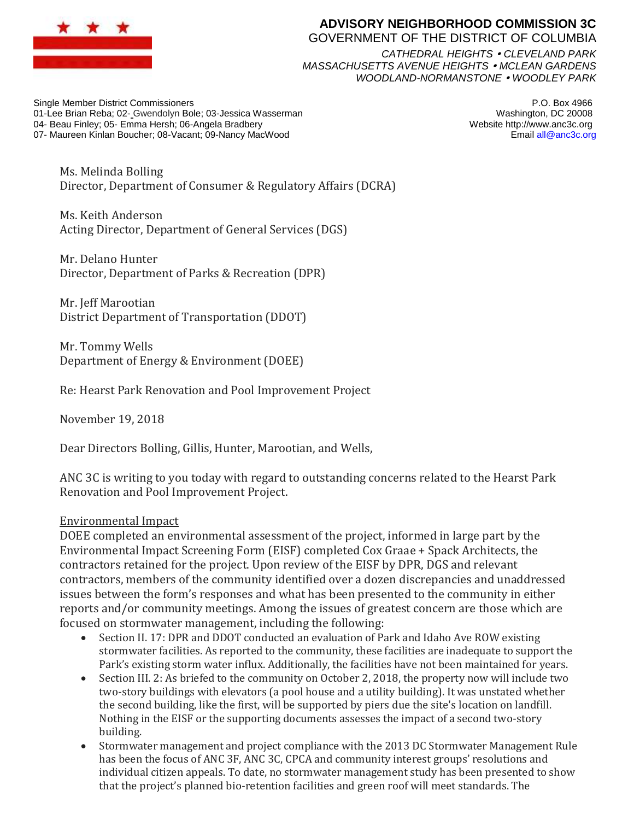

## **ADVISORY NEIGHBORHOOD COMMISSION 3C**

GOVERNMENT OF THE DISTRICT OF COLUMBIA

*CATHEDRAL HEIGHTS CLEVELAND PARK MASSACHUSETTS AVENUE HEIGHTS MCLEAN GARDENS WOODLAND-NORMANSTONE WOODLEY PARK*

Single Member District Commissioners 01-Lee Brian Reba; 02- Gwendolyn Bole; 03-Jessica Wasserman 04- Beau Finley; 05- Emma Hersh; 06-Angela Bradbery 07- Maureen Kinlan Boucher; 08-Vacant; 09-Nancy MacWood

P.O. Box 4966 Washington, DC 20008 Website http://www.anc3c.org Email all@anc3c.org

Ms. Melinda Bolling Director, Department of Consumer & Regulatory Affairs (DCRA)

Ms. Keith Anderson Acting Director, Department of General Services (DGS)

Mr. Delano Hunter Director, Department of Parks & Recreation (DPR)

Mr. Jeff Marootian District Department of Transportation (DDOT)

Mr. Tommy Wells Department of Energy & Environment (DOEE)

Re: Hearst Park Renovation and Pool Improvement Project

November 19, 2018

Dear Directors Bolling, Gillis, Hunter, Marootian, and Wells,

ANC 3C is writing to you today with regard to outstanding concerns related to the Hearst Park Renovation and Pool Improvement Project.

## Environmental Impact

DOEE completed an environmental assessment of the project, informed in large part by the Environmental Impact Screening Form (EISF) completed Cox Graae + Spack Architects, the contractors retained for the project. Upon review of the EISF by DPR, DGS and relevant contractors, members of the community identified over a dozen discrepancies and unaddressed issues between the form's responses and what has been presented to the community in either reports and/or community meetings. Among the issues of greatest concern are those which are focused on stormwater management, including the following:

- Section II. 17: DPR and DDOT conducted an evaluation of Park and Idaho Ave ROW existing stormwater facilities. As reported to the community, these facilities are inadequate to support the Park's existing storm water influx. Additionally, the facilities have not been maintained for years.
- Section III. 2: As briefed to the community on October 2, 2018, the property now will include two two-story buildings with elevators (a pool house and a utility building). It was unstated whether the second building, like the first, will be supported by piers due the site's location on landfill. Nothing in the EISF or the supporting documents assesses the impact of a second two-story building.
- Stormwater management and project compliance with the 2013 DC Stormwater Management Rule has been the focus of ANC 3F, ANC 3C, CPCA and community interest groups' resolutions and individual citizen appeals. To date, no stormwater management study has been presented to show that the project's planned bio-retention facilities and green roof will meet standards. The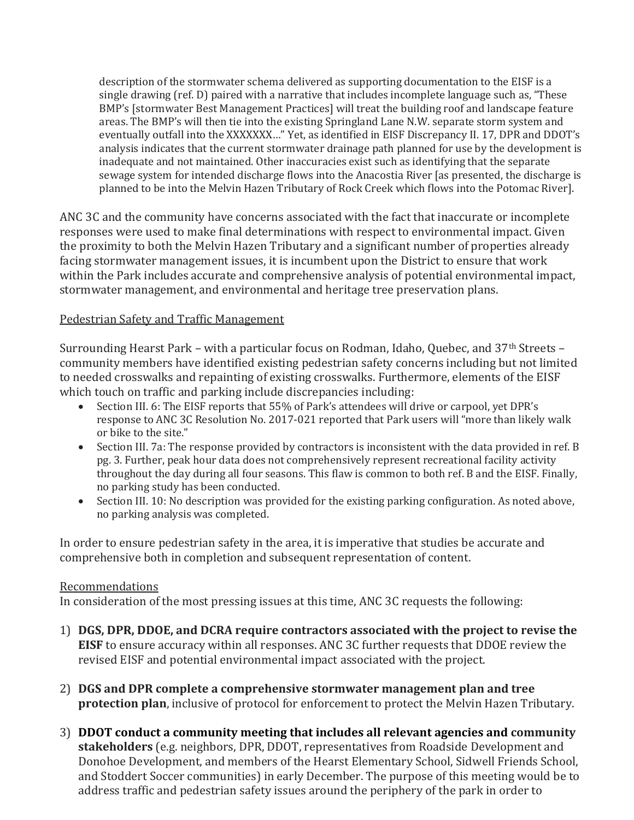description of the stormwater schema delivered as supporting documentation to the EISF is a single drawing (ref. D) paired with a narrative that includes incomplete language such as, "These BMP's [stormwater Best Management Practices] will treat the building roof and landscape feature areas. The BMP's will then tie into the existing Springland Lane N.W. separate storm system and eventually outfall into the XXXXXXX…" Yet, as identified in EISF Discrepancy II. 17, DPR and DDOT's analysis indicates that the current stormwater drainage path planned for use by the development is inadequate and not maintained. Other inaccuracies exist such as identifying that the separate sewage system for intended discharge flows into the Anacostia River [as presented, the discharge is planned to be into the Melvin Hazen Tributary of Rock Creek which flows into the Potomac River].

ANC 3C and the community have concerns associated with the fact that inaccurate or incomplete responses were used to make final determinations with respect to environmental impact. Given the proximity to both the Melvin Hazen Tributary and a significant number of properties already facing stormwater management issues, it is incumbent upon the District to ensure that work within the Park includes accurate and comprehensive analysis of potential environmental impact, stormwater management, and environmental and heritage tree preservation plans.

## Pedestrian Safety and Traffic Management

Surrounding Hearst Park – with a particular focus on Rodman, Idaho, Quebec, and 37th Streets – community members have identified existing pedestrian safety concerns including but not limited to needed crosswalks and repainting of existing crosswalks. Furthermore, elements of the EISF which touch on traffic and parking include discrepancies including:

- Section III. 6: The EISF reports that 55% of Park's attendees will drive or carpool, yet DPR's response to ANC 3C Resolution No. 2017-021 reported that Park users will "more than likely walk or bike to the site."
- Section III. 7a: The response provided by contractors is inconsistent with the data provided in ref. B pg. 3. Further, peak hour data does not comprehensively represent recreational facility activity throughout the day during all four seasons. This flaw is common to both ref. B and the EISF. Finally, no parking study has been conducted.
- Section III. 10: No description was provided for the existing parking configuration. As noted above, no parking analysis was completed.

In order to ensure pedestrian safety in the area, it is imperative that studies be accurate and comprehensive both in completion and subsequent representation of content.

## Recommendations

In consideration of the most pressing issues at this time, ANC 3C requests the following:

- 1) **DGS, DPR, DDOE, and DCRA require contractors associated with the project to revise the EISF** to ensure accuracy within all responses. ANC 3C further requests that DDOE review the revised EISF and potential environmental impact associated with the project.
- 2) **DGS and DPR complete a comprehensive stormwater management plan and tree protection plan**, inclusive of protocol for enforcement to protect the Melvin Hazen Tributary.
- 3) **DDOT conduct a community meeting that includes all relevant agencies and community stakeholders** (e.g. neighbors, DPR, DDOT, representatives from Roadside Development and Donohoe Development, and members of the Hearst Elementary School, Sidwell Friends School, and Stoddert Soccer communities) in early December. The purpose of this meeting would be to address traffic and pedestrian safety issues around the periphery of the park in order to